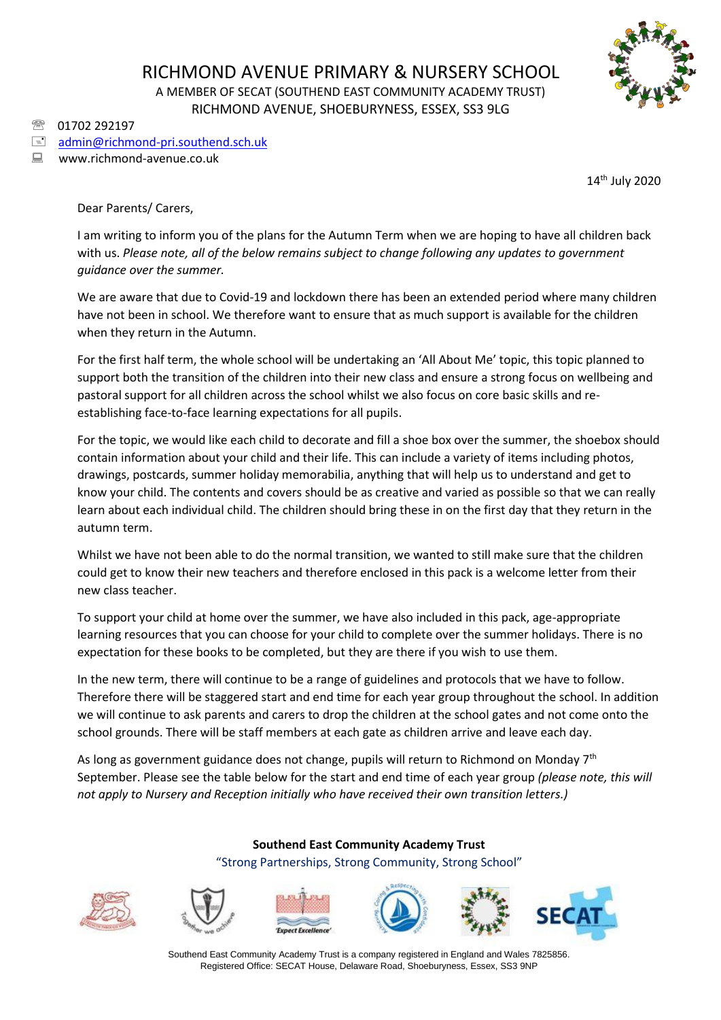

01702 292197

## $\equiv$  [admin@richmond-pri.southend.sch.uk](mailto:admin@richmond-pri.southend.sch.uk)

www.richmond-avenue.co.uk

14 th July 2020

Dear Parents/ Carers,

I am writing to inform you of the plans for the Autumn Term when we are hoping to have all children back with us. *Please note, all of the below remains subject to change following any updates to government guidance over the summer.*

We are aware that due to Covid-19 and lockdown there has been an extended period where many children have not been in school. We therefore want to ensure that as much support is available for the children when they return in the Autumn.

For the first half term, the whole school will be undertaking an 'All About Me' topic, this topic planned to support both the transition of the children into their new class and ensure a strong focus on wellbeing and pastoral support for all children across the school whilst we also focus on core basic skills and reestablishing face-to-face learning expectations for all pupils.

For the topic, we would like each child to decorate and fill a shoe box over the summer, the shoebox should contain information about your child and their life. This can include a variety of items including photos, drawings, postcards, summer holiday memorabilia, anything that will help us to understand and get to know your child. The contents and covers should be as creative and varied as possible so that we can really learn about each individual child. The children should bring these in on the first day that they return in the autumn term.

Whilst we have not been able to do the normal transition, we wanted to still make sure that the children could get to know their new teachers and therefore enclosed in this pack is a welcome letter from their new class teacher.

To support your child at home over the summer, we have also included in this pack, age-appropriate learning resources that you can choose for your child to complete over the summer holidays. There is no expectation for these books to be completed, but they are there if you wish to use them.

In the new term, there will continue to be a range of guidelines and protocols that we have to follow. Therefore there will be staggered start and end time for each year group throughout the school. In addition we will continue to ask parents and carers to drop the children at the school gates and not come onto the school grounds. There will be staff members at each gate as children arrive and leave each day.

As long as government guidance does not change, pupils will return to Richmond on Monday 7<sup>th</sup> September. Please see the table below for the start and end time of each year group *(please note, this will not apply to Nursery and Reception initially who have received their own transition letters.)*

## **Southend East Community Academy Trust** "Strong Partnerships, Strong Community, Strong School"













Southend East Community Academy Trust is a company registered in England and Wales 7825856. Registered Office: SECAT House, Delaware Road, Shoeburyness, Essex, SS3 9NP